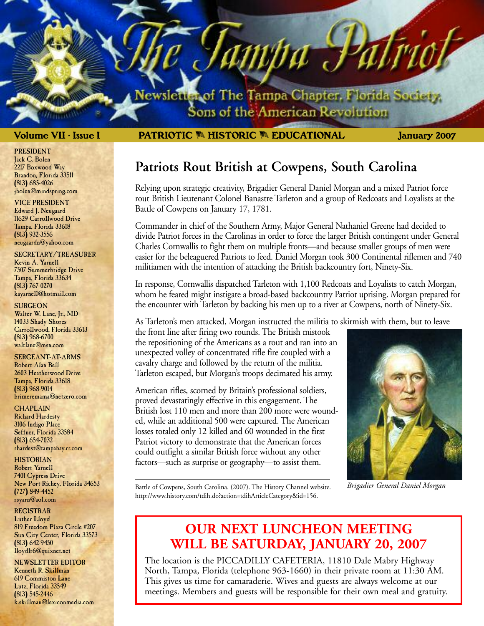lewsletter of The Tampa Chapter, Florida Society. Sons of the American Revolution

ampa J

#### **Volume VII • Issue I January 2007 PATRIOTIC** M **HISTORIC** M **EDUCATIONAL**

## **Patriots Rout British at Cowpens, South Carolina**

Relying upon strategic creativity, Brigadier General Daniel Morgan and a mixed Patriot force rout British Lieutenant Colonel Banastre Tarleton and a group of Redcoats and Loyalists at the Battle of Cowpens on January 17, 1781.

Commander in chief of the Southern Army, Major General Nathaniel Greene had decided to divide Patriot forces in the Carolinas in order to force the larger British contingent under General Charles Cornwallis to fight them on multiple fronts—and because smaller groups of men were easier for the beleaguered Patriots to feed. Daniel Morgan took 300 Continental riflemen and 740 militiamen with the intention of attacking the British backcountry fort, Ninety-Six.

In response, Cornwallis dispatched Tarleton with 1,100 Redcoats and Loyalists to catch Morgan, whom he feared might instigate a broad-based backcountry Patriot uprising. Morgan prepared for the encounter with Tarleton by backing his men up to a river at Cowpens, north of Ninety-Six.

As Tarleton's men attacked, Morgan instructed the militia to skirmish with them, but to leave

the front line after firing two rounds. The British mistook the repositioning of the Americans as a rout and ran into an unexpected volley of concentrated rifle fire coupled with a cavalry charge and followed by the return of the militia. Tarleton escaped, but Morgan's troops decimated his army.

American rifles, scorned by Britain's professional soldiers, proved devastatingly effective in this engagement. The British lost 110 men and more than 200 more were wounded, while an additional 500 were captured. The American losses totaled only 12 killed and 60 wounded in the first Patriot victory to demonstrate that the American forces could outfight a similar British force without any other factors—such as surprise or geography—to assist them.



*Brigadier General Daniel Morgan*

Battle of Cowpens, South Carolina. (2007). The History Channel website. http://www.history.com/tdih.do?action=tdihArticleCategory&id=156.

## **OUR NEXT LUNCHEON MEETING WILL BE SATURDAY, JANUARY 20, 2007**

The location is the PICCADILLY CAFETERIA, 11810 Dale Mabry Highway North, Tampa, Florida (telephone 963-1660) in their private room at 11:30 AM. This gives us time for camaraderie. Wives and guests are always welcome at our meetings. Members and guests will be responsible for their own meal and gratuity.

PRESIDENT Jack C. Bolen 2217 Boxwood Way Brandon, Florida 33511 (813) 685-4026 jbolen@mindspring.com

VICE-PRESIDENT Edward J. Neugaard 11629 Carrollwood Drive Tampa, Florida 33618 (813) 932-3556 neugaardn@yahoo.com

SECRETARY/TREASURER Kevin A. Yarnell 7507 Summerbridge Drive Tampa, Florida 33634 (813) 767-0270 kayarnell@hotmail.com

**SURGEON** Walter W. Lane, Jr., MD 14033 Shady Shores Carrollwood, Florida 33613 (813) 968-6700 waltlane@msn.com

SERGEANT-AT-ARMS Robert Alan Bell 2603 Heatherwood Drive Tampa, Florida 33618 (813) 968-9014 brimeremama@netzero.com

**CHAPLAIN** Richard Hardesty 3106 Indigo Place Seffner, Florida 33584 (813) 654-7032 rhardest@tampabay.rr.com

**HISTORIAN** Robert Yarnell 7401 Cypress Drive New Port Richey, Florida 34653 (727) 849-4452 rsyarn@aol.com

REGISTRAR

Luther Lloyd 819 Freedom Plaza Circle #207 Sun City Center, Florida 33573 (813) 642-9450 lloydlr6@quixnet.net

NEWSLETTER EDITOR Kenneth R. Skillman 619 Commiston Lane Lutz, Florida 33549 (813) 545-2446 k.skillman@lexiconmedia.com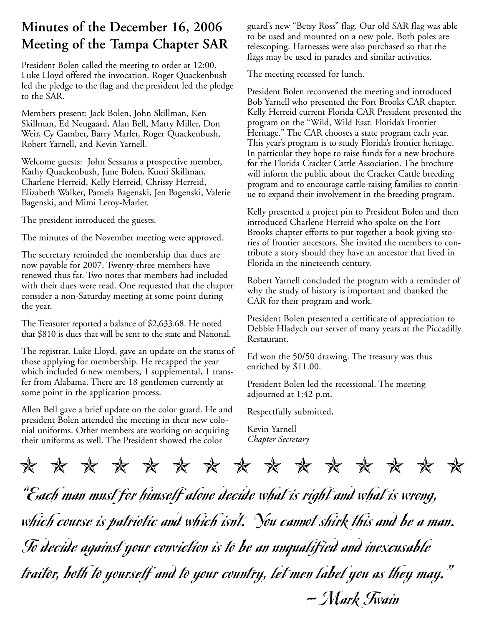## **Minutes of the December 16, 2006 Meeting of the Tampa Chapter SAR**

President Bolen called the meeting to order at 12:00. Luke Lloyd offered the invocation. Roger Quackenbush led the pledge to the flag and the president led the pledge to the SAR.

Members present: Jack Bolen, John Skillman, Ken Skillman, Ed Neugaard, Alan Bell, Marty Miller, Don Weir, Cy Gamber, Barry Marler, Roger Quackenbush, Robert Yarnell, and Kevin Yarnell.

Welcome guests: John Sessums a prospective member, Kathy Quackenbush, June Bolen, Kumi Skillman, Charlene Herreid, Kelly Herreid, Chrissy Herreid, Elizabeth Walker, Pamela Bagenski, Jen Bagenski, Valerie Bagenski, and Mimi Leroy-Marler.

The president introduced the guests.

The minutes of the November meeting were approved.

The secretary reminded the membership that dues are now payable for 2007. Twenty-three members have renewed thus far. Two notes that members had included with their dues were read. One requested that the chapter consider a non-Saturday meeting at some point during the year.

The Treasurer reported a balance of \$2,633.68. He noted that \$810 is dues that will be sent to the state and National.

The registrar, Luke Lloyd, gave an update on the status of those applying for membership. He recapped the year which included 6 new members, 1 supplemental, 1 transfer from Alabama. There are 18 gentlemen currently at some point in the application process.

Allen Bell gave a brief update on the color guard. He and president Bolen attended the meeting in their new colonial uniforms. Other members are working on acquiring their uniforms as well. The President showed the color

guard's new "Betsy Ross" flag. Our old SAR flag was able to be used and mounted on a new pole. Both poles are telescoping. Harnesses were also purchased so that the flags may be used in parades and similar activities.

The meeting recessed for lunch.

President Bolen reconvened the meeting and introduced Bob Yarnell who presented the Fort Brooks CAR chapter. Kelly Herreid current Florida CAR President presented the program on the "Wild, Wild East: Florida's Frontier Heritage." The CAR chooses a state program each year. This year's program is to study Florida's frontier heritage. In particular they hope to raise funds for a new brochure for the Florida Cracker Cattle Association. The brochure will inform the public about the Cracker Cattle breeding program and to encourage cattle-raising families to continue to expand their involvement in the breeding program.

Kelly presented a project pin to President Bolen and then introduced Charlene Herreid who spoke on the Fort Brooks chapter efforts to put together a book giving stories of frontier ancestors. She invited the members to contribute a story should they have an ancestor that lived in Florida in the nineteenth century.

Robert Yarnell concluded the program with a reminder of why the study of history is important and thanked the CAR for their program and work.

President Bolen presented a certificate of appreciation to Debbie Hladych our server of many years at the Piccadilly Restaurant.

Ed won the 50/50 drawing. The treasury was thus enriched by \$11.00.

President Bolen led the recessional. The meeting adjourned at 1:42 p.m.

Respectfully submitted,

Kevin Yarnell *Chapter Secretary*

✯✯✯✯✯✯✯✯✯✯✯✯✯✯✯

"Each man must for himself alone decide what is right and what is wrong, which course is patriotic and which isn't. You cannot shirk this and be a man. To decide against your conviction is to be an unqualified and inexcusable traitor, both to yourself and to your country, let men label you as they may." — Mark Twain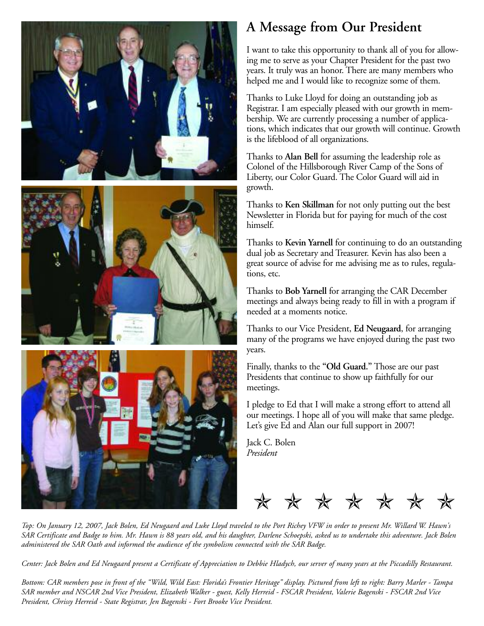

#### ing me to serve as your Chapter President for the past two years. It truly was an honor. There are many members who helped me and I would like to recognize some of them.

Thanks to Luke Lloyd for doing an outstanding job as Registrar. I am especially pleased with our growth in membership. We are currently processing a number of applications, which indicates that our growth will continue. Growth is the lifeblood of all organizations.

I want to take this opportunity to thank all of you for allow-

**A Message from Our President**

Thanks to **Alan Bell** for assuming the leadership role as Colonel of the Hillsborough River Camp of the Sons of Liberty, our Color Guard. The Color Guard will aid in growth.

Thanks to **Ken Skillman** for not only putting out the best Newsletter in Florida but for paying for much of the cost himself.

Thanks to **Kevin Yarnell** for continuing to do an outstanding dual job as Secretary and Treasurer. Kevin has also been a great source of advise for me advising me as to rules, regulations, etc.

Thanks to **Bob Yarnell** for arranging the CAR December meetings and always being ready to fill in with a program if needed at a moments notice.

Thanks to our Vice President, **Ed Neugaard**, for arranging many of the programs we have enjoyed during the past two years.

Finally, thanks to the **"Old Guard."** Those are our past Presidents that continue to show up faithfully for our meetings.

I pledge to Ed that I will make a strong effort to attend all our meetings. I hope all of you will make that same pledge. Let's give Ed and Alan our full support in 2007!

Jack C. Bolen *President*



*Top: On January 12, 2007, Jack Bolen, Ed Neugaard and Luke Lloyd traveled to the Port Richey VFW in order to present Mr. Willard W. Hawn's SAR Certificate and Badge to him. Mr. Hawn is 88 years old, and his daughter, Darlene Schoepski, asked us to undertake this adventure. Jack Bolen administered the SAR Oath and informed the audience of the symbolism connected with the SAR Badge.*

*Center: Jack Bolen and Ed Neugaard present a Certificate of Appreciation to Debbie Hladych, our server of many years at the Piccadilly Restaurant.*

*Bottom: CAR members pose in front of the "Wild, Wild East: Florida's Frontier Heritage" display. Pictured from left to right: Barry Marler - Tampa SAR member and NSCAR 2nd Vice President, Elizabeth Walker - guest, Kelly Herreid - FSCAR President, Valerie Bagenski - FSCAR 2nd Vice President, Chrissy Herreid - State Registrar, Jen Bagenski - Fort Brooke Vice President.*